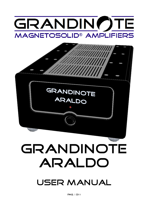# GRANDIN()TE **MAGNETOSOLID® AMPLIFIERS**



# GRANDINOTE **ARALDO**

user manual

Pag. 1 di 8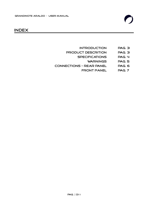

### index

- introduction Pag. 3
- product descrition Pag. 3
	- specifications Pag. 4
		- warnings Pag. 5
- Connections Rear Panel Pag. 6
	- FRONT PANEL PAG. 7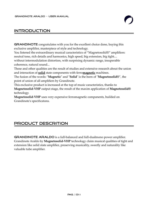**GRANDINOTE** congratulates with you for the excellent choice done, buying this exclusive amplifier, masterpiece of style and technology.

You listened the extraordinary musical caracteristics of "Magnetosolid<sup>®"</sup> amplifiers: neutral tone, rich details and harmonics, high speed, big extension, big tight.... without intermodulation distortion, with surprising dynamic range, insuperable coherence, natural sound...

These and other qualities are the result of studies and extensive research about the union and interaction of **solid** state components with ferro**magnetic** machines.

The fusion of the words: "**Magnetic**" and "**Solid**" is the born of "**Magnetosolid®**", the point of union of all amplifiers by Grandinote.

This exclusive product is increased at the top of music caracteristics, thanks to **Magnetosolid-VHP** output stage, the result of the maxim application of **Magnetosolid®**  technology.

**Magnetosolid-VHP** uses very expensive ferromagnetic components, builded on Grandinote's specificatons.

# product descrition

**GRANDINOTE ARALDO** is a full-balanced and full-dualmono power amplifier. Grandinote Araldo by **Magnetosolid-VHP** technology claim musical qualities of tight and extension like solid state amplifier, preserving musicality, sweetly and naturality like valuable tube amplifier.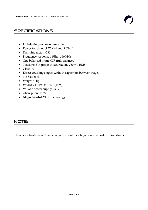- Full-dualmono power amplifier
- Power for channel 37W (4 and 8 Ohm)
- Damping factor >230
- Frequency response 1,5Hz 350 kHz
- One balanced input XLR (full-balanced)
- Tensione d'ingresso di saturazione 750mV RMS
- Class "A"
- Direct coupling stages: without capacitors between stages
- No feedback
- Weight 40kg
- $\bullet$  W=318 x H=196 x L=473 [mm]
- Voltage power supply 230V
- Absorption 270W
- **Magnetosolid-VHP** Technology

#### NOTE:

These specifications will can change without the obligation to report, by Grandinote.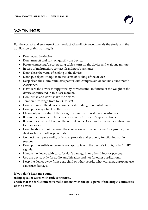For the correct and sure use of this product, Grandinote recommends the study and the application of this warning list.

- Don't open the device.
- Don't turn off and turn on quickly the device.
- Before connecting/disconnecting cables, turn off the device and wait one minute.
- In case of malfunction, contact Grandinote's assitance.
- Don't close the vents of cooling of the device.
- Don't put objets or liquids in the vents of cooling of the device.
- Keep clean the alluminium dissipators with compres air, or contact Grandinote's Assistance.
- Have care the device is supported by correct stand, in functio of the weight of the device specificated in this user manual.
- Don't strike and don't shake the device.
- Temperature range from to  $0^{\circ}$ C to  $35^{\circ}$ C.
- Don't approach the device to water, acid, or dangerous substances.
- Don't put every object on the device.
- Clean only with a dry cloth, or slightly damp with water and neutral soap.
- Be sure the power supply net is correct with the device's specifications.
- Be sure the electrical load, on the output connectors, has the correct specifications for the device.
- Don't be short circuit between the connectors with other connectors, ground, the device's body or other potentials.
- Connect the inputs audio, only to appropiate and properly functioning audio sources.
- Don't put potentials or currents not appropiate in the device's inputs, only "LINE" signals.
- Handle the device with care, for don't damage it, or other things or persons.
- Use the device only for audio amplification and not for other applications.
- Keep the device away from pets, child or other people, who with a inappropiate use can cause damage.

#### **If you don't hear any sound,**

#### **using speaker wires with fork connectors,**

**check that the fork connectors make contact with the gold parts of the output connectors of the device.**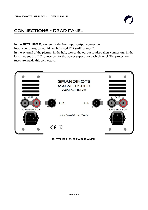# Connections - Rear Panel

In the PICTURE 2, we see the device's input-output connectors.

Input connectors, called IN, are balanced XLR (full balanced).

In the external of the picture, in the half, we see the output loudspeakers connectors, in the lower we see the IEC connectors for the power supply, for each channel. The protection fuses are inside this connectors.



#### picture 2: rear panel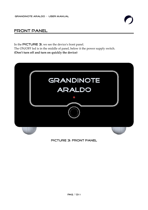## Front panel

In the PICTURE  $\exists$ , we see the device's front panel. The ON/OFF led is in the middle of panel, below it the power supply switch. **(Don't turn off and turn on quickly the device)**



picture 3: front panel